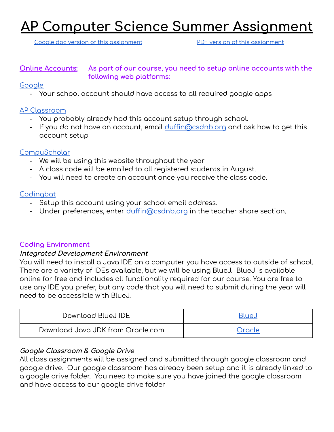# **AP Computer Science Summer Assignment**

Google doc version of this [assignment](https://drive.google.com/file/d/12lUNuJr2GMQdQWE02xLTqrpZj0z4o0x7/view?usp=sharing) The PDF version of this assignment

### **Online Accounts: As part of our course, you need to setup online accounts with the following web platforms:**

### **[Google](http://www.google.com)**

- Your school account should have access to all required google apps

### AP [Classroom](http://apclassroom.collegeboard.org)

- You probably already had this account setup through school.
- If you do not have an account, email [duffin@csdnb.org](mailto:duffin@csdnb.org) and ask how to get this account setup

### **[CompuScholar](https://learning.compuscholar.com/)**

- We will be using this website throughout the year
- A class code will be emailed to all registered students in August.
- You will need to create an account once you receive the class code.

#### **[Codingbat](https://codingbat.com/java)**

- Setup this account using your school email address.
- Under preferences, enter [duffin@csdnb.org](mailto:duffin@csdnb.org) in the teacher share section.

# **Coding Environment**

#### **Integrated Development Environment**

You will need to install a Java IDE on a computer you have access to outside of school. There are a variety of IDEs available, but we will be using BlueJ. BlueJ is available online for free and includes all functionality required for our course. You are free to use any IDE you prefer, but any code that you will need to submit during the year will need to be accessible with BlueJ.

| Download BlueJ IDE                | Blue.i        |
|-----------------------------------|---------------|
| Download Java JDK from Oracle.com | <b>Oracle</b> |

# **Google Classroom & Google Drive**

All class assignments will be assigned and submitted through google classroom and google drive. Our google classroom has already been setup and it is already linked to a google drive folder. You need to make sure you have joined the google classroom and have access to our google drive folder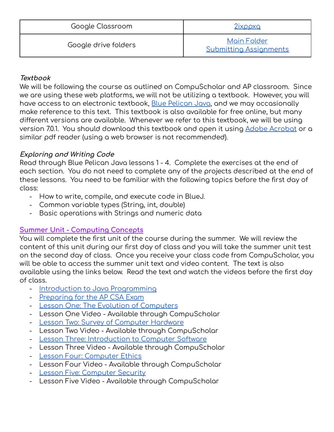| Google Classroom     | 2ixppxq                                             |
|----------------------|-----------------------------------------------------|
| Google drive folders | <b>Main Folder</b><br><b>Submitting Assignments</b> |

# **Textbook**

We will be following the course as outlined on CompuScholar and AP classroom. Since we are using these web platforms, we will not be utilizing a textbook. However, you will have access to an electronic textbook, Blue [Pelican](https://drive.google.com/file/d/12lAzyE4oDic-63D3VdAWD4xSrjEqzWpM/view?usp=sharing) Java, and we may occasionally make reference to this text. This textbook is also available for free online, but many different versions are available. Whenever we refer to this textbook, we will be using version 7.0.1. You should download this textbook and open it using Adobe [Acrobat](https://get.adobe.com/reader/) or a similar pdf reader (using a web browser is not recommended).

# **Exploring and Writing Code**

Read through Blue Pelican Java lessons 1 - 4. Complete the exercises at the end of each section. You do not need to complete any of the projects described at the end of these lessons. You need to be familiar with the following topics before the first day of class:

- How to write, compile, and execute code in BlueJ.
- Common variable types (String, int, double)
- Basic operations with Strings and numeric data

# **Summer Unit - Computing Concepts**

You will complete the first unit of the course during the summer. We will review the content of this unit during our first day of class and you will take the summer unit test on the second day of class. Once you receive your class code from CompuScholar, you will be able to access the summer unit text and video content. The text is also available using the links below. Read the text and watch the videos before the first day of class.

- Introduction to Java [Programming](https://drive.google.com/file/d/12jjK3tUTYVoFQwExUIG6iqWcIHADKqWS/view?usp=sharing)
- [Preparing](https://drive.google.com/file/d/12kIG778AUUREvTlMv08WNIvaZHskexRE/view?usp=sharing) for the AP CSA Exam
- Lesson One: The Evolution of [Computers](https://drive.google.com/file/d/12jJxal6pTFykLIMqBR789_BcYNiThmXW/view?usp=sharing)
- Lesson One Video Available through CompuScholar
- Lesson Two: Survey of [Computer](https://drive.google.com/file/d/12kKuW4gCuNZk1l0fCatDZ1huTwJlRFAs/view?usp=sharing) Hardware
- Lesson Two Video Available through CompuScholar
- Lesson Three: [Introduction](https://drive.google.com/file/d/12k6IbuuoCp_EwYi0fC4UrtNxxoEr8Pyv/view?usp=sharing) to Computer Software
- Lesson Three Video Available through CompuScholar
- Lesson Four: [Computer](https://drive.google.com/file/d/12i7XgdbiG9Em0I-EceGMg7oB42V810GZ/view?usp=sharing) Ethics
- Lesson Four Video Available through CompuScholar
- Lesson Five: [Computer](https://drive.google.com/file/d/12iKxNHcztvHUm0cgnW0QNCIy22A2tVEn/view?usp=sharing) Security
- Lesson Five Video Available through CompuScholar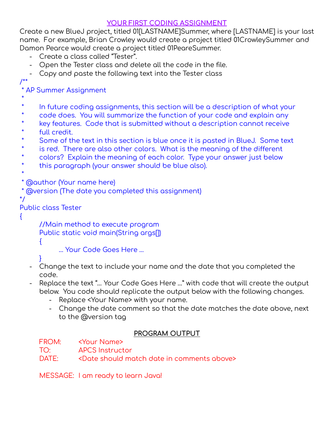# **YOUR FIRST CODING ASSIGNMENT**

Create a new BlueJ project, titled 01[LASTNAME]Summer, where [LASTNAME] is your last name. For example, Brian Crowley would create a project titled 01CrowleySummer and Damon Pearce would create a project titled 01PeareSummer.

- Create a class called "Tester".
- Open the Tester class and delete all the code in the file.
- Copy and paste the following text into the Tester class

# /\*\*

\* AP Summer Assignment

- \*
- In future coding assignments, this section will be a description of what your
- code does. You will summarize the function of your code and explain any
- \* key features. Code that is submitted without a description cannot receive
- \* full credit.
- \* Some of the text in this section is blue once it is pasted in BlueJ. Some text
- \* is red. There are also other colors. What is the meaning of the different
- \* colors? Explain the meaning of each color. Type your answer just below
- this paragraph (your answer should be blue also).

\* \* @author (Your name here)

\* @version (The date you completed this assignment)

\*/

Public class Tester

{

//Main method to execute program Public static void main(String args[])  $\mathcal{L}$ 

… Your Code Goes Here …

- }
- Change the text to include your name and the date that you completed the code.
- Replace the text "… Your Code Goes Here …" with code that will create the output below. You code should replicate the output below with the following changes.
	- Replace <Your Name> with your name.
	- Change the date comment so that the date matches the date above, next to the @version tag

# **PROGRAM OUTPUT**

FROM: <Your Name>

TO: APCS Instructor

DATE: <Date should match date in comments above>

MESSAGE: I am ready to learn Java!